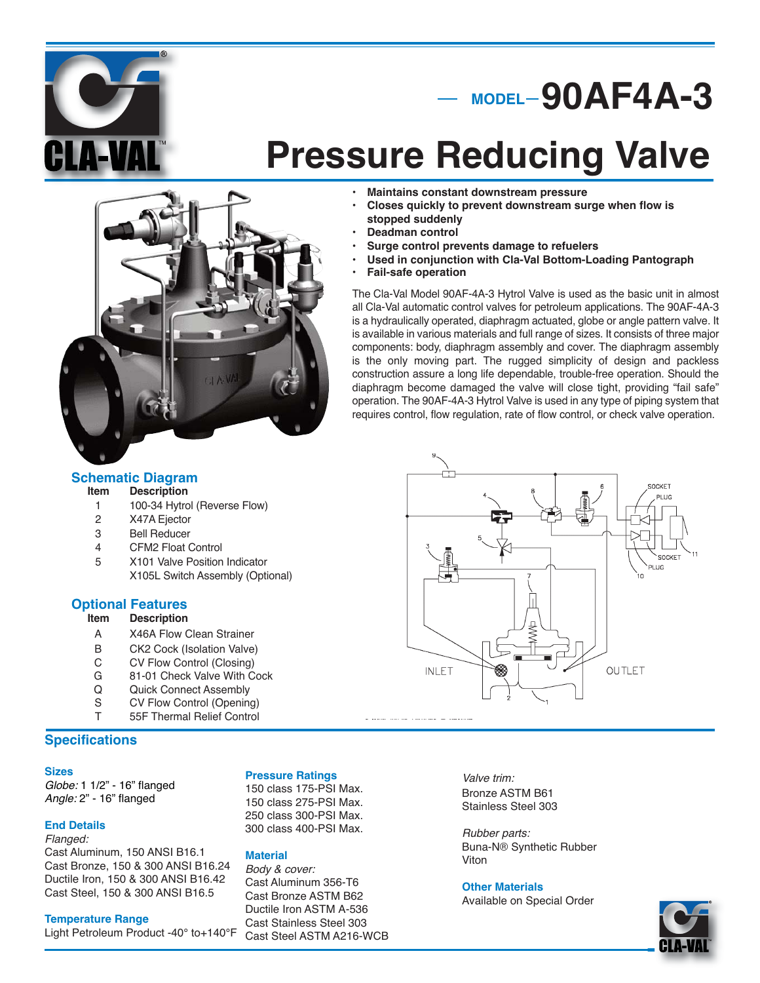

## **MODEL 90AF4A-3**

# **Pressure Reducing Valve**

### **• Maintains constant downstream pressure**

- **Closes quickly to prevent downstream surge when flow is stopped suddenly**
- **Deadman control**
- **Surge control prevents damage to refuelers**
- **Used in conjunction with Cla-Val Bottom-Loading Pantograph**
- **Fail-safe operation**

The Cla-Val Model 90AF-4A-3 Hytrol Valve is used as the basic unit in almost all Cla-Val automatic control valves for petroleum applications. The 90AF-4A-3 is a hydraulically operated, diaphragm actuated, globe or angle pattern valve. It is available in various materials and full range of sizes. It consists of three major components: body, diaphragm assembly and cover. The diaphragm assembly is the only moving part. The rugged simplicity of design and packless construction assure a long life dependable, trouble-free operation. Should the diaphragm become damaged the valve will close tight, providing "fail safe" operation. The 90AF-4A-3 Hytrol Valve is used in any type of piping system that requires control, flow regulation, rate of flow control, or check valve operation.



#### **Description**

- 1 100-34 Hytrol (Reverse Flow)
- 2 X47A Ejector
- 3 Bell Reducer
- 4 CFM2 Float Control
- 5 X101 Valve Position Indicator
- X105L Switch Assembly (Optional)

## **Optional Features**<br>Item Description

#### **Description**

- A X46A Flow Clean Strainer
- 
- B CK2 Cock (Isolation Valve)<br>C CV Flow Control (Closing) CV Flow Control (Closing)
- G 81-01 Check Valve With Cock<br>Q Quick Connect Assembly
- Q Quick Connect Assembly<br>S CV Flow Control (Openin
- 
- S CV Flow Control (Opening)<br>T 55F Thermal Relief Control 55F Thermal Relief Control

## **Specifications**

#### **Sizes**

Globe: 1 1/2" - 16" flanged Angle: 2" - 16" flanged

#### **End Details**

Flanged: Cast Aluminum, 150 ANSI B16.1 Cast Bronze, 150 & 300 ANSI B16.24 Ductile Iron, 150 & 300 ANSI B16.42 Cast Steel, 150 & 300 ANSI B16.5

#### **Temperature Range**

Light Petroleum Product -40° to+140°F

#### **Pressure Ratings**

150 class 175-PSI Max. 150 class 275-PSI Max. 250 class 300-PSI Max. 300 class 400-PSI Max.

#### **Material**

Body & cover: Cast Aluminum 356-T6 Cast Bronze ASTM B62 Ductile Iron ASTM A-536 Cast Stainless Steel 303 Cast Steel ASTM A216-WCB

Valve trim: Bronze ASTM B61

Stainless Steel 303

Rubber parts: Buna-N® Synthetic Rubber Viton

#### **Other Materials**

Available on Special Order